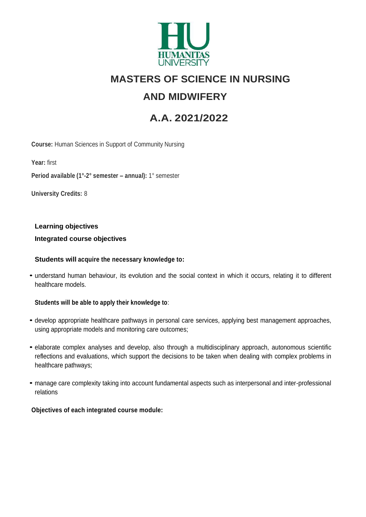

# **MASTERS OF SCIENCE IN NURSING**

# **AND MIDWIFERY**

# **A.A. 2021/2022**

**Course:** Human Sciences in Support of Community Nursing

**Year:** first

**Period available (1°-2° semester – annual):** 1° semester

**University Credits:** 8

**Learning objectives**

**Integrated course objectives**

## **Students will acquire the necessary knowledge to:**

• understand human behaviour, its evolution and the social context in which it occurs, relating it to different healthcare models.

## **Students will be able to apply their knowledge to**:

- develop appropriate healthcare pathways in personal care services, applying best management approaches, using appropriate models and monitoring care outcomes;
- elaborate complex analyses and develop, also through <sup>a</sup> multidisciplinary approach, autonomous scientific reflections and evaluations, which support the decisions to be taken when dealing with complex problems in healthcare pathways;
- manage care complexity taking into account fundamental aspects such as interpersonal and inter-professional relations

**Objectives of each integrated course module:**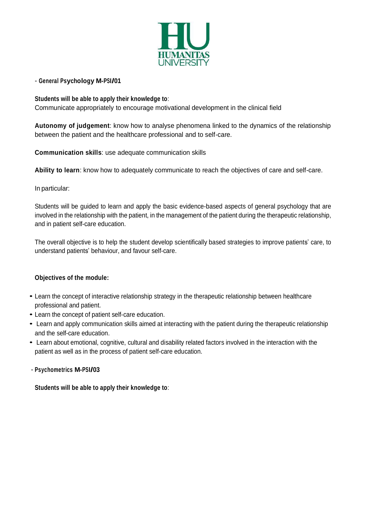

## - **General Psychology M-PSI/01**

**Students will be able to apply their knowledge to**:

Communicate appropriately to encourage motivational development in the clinical field

**Autonomy of judgement**: know how to analyse phenomena linked to the dynamics of the relationship between the patient and the healthcare professional and to self-care.

**Communication skills**: use adequate communication skills

**Ability to learn**: know how to adequately communicate to reach the objectives of care and self-care.

In particular:

Students will be guided to learn and apply the basic evidence-based aspects of general psychology that are involved in the relationship with the patient, in the management of the patient during the therapeutic relationship, and in patient self-care education.

The overall objective is to help the student develop scientifically based strategies to improve patients' care, to understand patients' behaviour, and favour self-care.

## **Objectives of the module:**

- Learn the concept of interactive relationship strategy in the therapeutic relationship between healthcare professional and patient.
- Learn the concept of patient self-care education.
- Learn and apply communication skills aimed at interacting with the patient during the therapeutic relationship and the self-care education.
- Learn about emotional, cognitive, cultural and disability related factors involved in the interaction with the patient as well as in the process of patient self-care education.
- **Psychometrics M-PSI/03**

**Students will be able to apply their knowledge to**: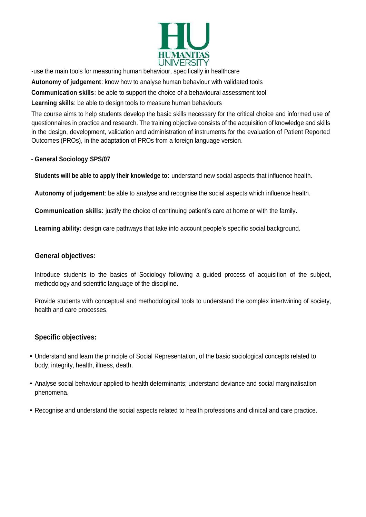

-use the main tools for measuring human behaviour, specifically in healthcare

**Autonomy of judgement**: know how to analyse human behaviour with validated tools

**Communication skills**: be able to support the choice of a behavioural assessment tool

**Learning skills**: be able to design tools to measure human behaviours

The course aims to help students develop the basic skills necessary for the critical choice and informed use of questionnaires in practice and research. The training objective consists of the acquisition of knowledge and skills in the design, development, validation and administration of instruments for the evaluation of Patient Reported Outcomes (PROs), in the adaptation of PROs from a foreign language version.

## - **General Sociology SPS/07**

**Students will be able to apply their knowledge to**: understand new social aspects that influence health.

**Autonomy of judgement**: be able to analyse and recognise the social aspects which influence health.

**Communication skills**: justify the choice of continuing patient's care at home or with the family.

**Learning ability:** design care pathways that take into account people's specific social background.

## **General objectives:**

Introduce students to the basics of Sociology following a guided process of acquisition of the subject, methodology and scientific language of the discipline.

Provide students with conceptual and methodological tools to understand the complex intertwining of society, health and care processes.

## **Specific objectives:**

- Understand and learn the principle of Social Representation, of the basic sociological concepts related to body, integrity, health, illness, death.
- Analyse social behaviour applied to health determinants; understand deviance and social marginalisation phenomena.
- Recognise and understand the social aspects related to health professions and clinical and care practice.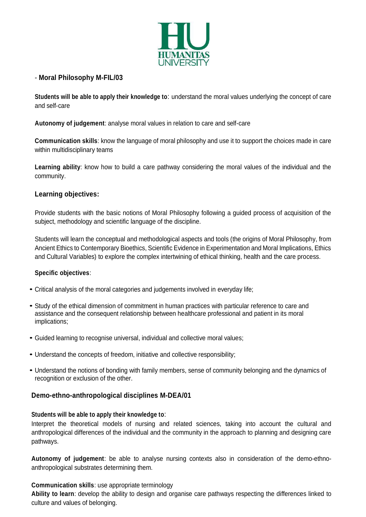

## - **Moral Philosophy M-FIL/03**

**Students will be able to apply their knowledge to**: understand the moral values underlying the concept of care and self-care

**Autonomy of judgement**: analyse moral values in relation to care and self-care

**Communication skills**: know the language of moral philosophy and use it to support the choices made in care within multidisciplinary teams

**Learning ability**: know how to build a care pathway considering the moral values of the individual and the community.

## **Learning objectives:**

Provide students with the basic notions of Moral Philosophy following a guided process of acquisition of the subject, methodology and scientific language of the discipline.

Students will learn the conceptual and methodological aspects and tools (the origins of Moral Philosophy, from Ancient Ethics to Contemporary Bioethics, Scientific Evidence in Experimentation and Moral Implications, Ethics and Cultural Variables) to explore the complex intertwining of ethical thinking, health and the care process.

## **Specific objectives**:

- Critical analysis of the moral categories and judgements involved in everyday life;
- Study of the ethical dimension of commitment in human practices with particular reference to care and assistance and the consequent relationship between healthcare professional and patient in its moral implications;
- Guided learning to recognise universal, individual and collective moral values;
- Understand the concepts of freedom, initiative and collective responsibility;
- Understand the notions of bonding with family members, sense of community belonging and the dynamics of recognition or exclusion of the other.

## **Demo-ethno-anthropological disciplines M-DEA/01**

## **Students will be able to apply their knowledge to**:

Interpret the theoretical models of nursing and related sciences, taking into account the cultural and anthropological differences of the individual and the community in the approach to planning and designing care pathways.

**Autonomy of judgement**: be able to analyse nursing contexts also in consideration of the demo-ethnoanthropological substrates determining them.

## **Communication skills**: use appropriate terminology

**Ability to learn**: develop the ability to design and organise care pathways respecting the differences linked to culture and values of belonging.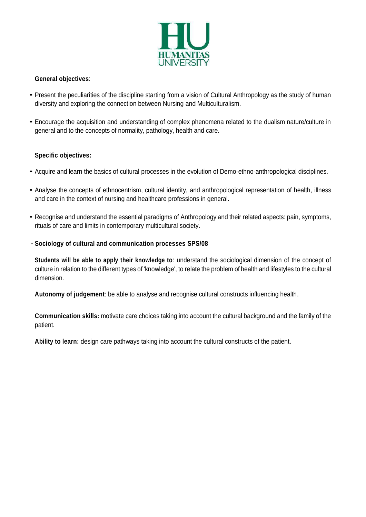

## **General objectives**:

- Present the peculiarities of the discipline starting from a vision of Cultural Anthropology as the study of human diversity and exploring the connection between Nursing and Multiculturalism.
- Encourage the acquisition and understanding of complex phenomena related to the dualism nature/culture in general and to the concepts of normality, pathology, health and care.

## **Specific objectives:**

- Acquire and learn the basics of cultural processes in the evolution of Demo-ethno-anthropological disciplines.
- Analyse the concepts of ethnocentrism, cultural identity, and anthropological representation of health, illness and care in the context of nursing and healthcare professions in general.
- Recognise and understand the essential paradigms of Anthropology and their related aspects: pain, symptoms, rituals of care and limits in contemporary multicultural society.
- **Sociology of cultural and communication processes SPS/08**

**Students will be able to apply their knowledge to**: understand the sociological dimension of the concept of culture in relation to the different types of 'knowledge', to relate the problem of health and lifestyles to the cultural dimension.

**Autonomy of judgement**: be able to analyse and recognise cultural constructs influencing health.

**Communication skills:** motivate care choices taking into account the cultural background and the family of the patient.

**Ability to learn:** design care pathways taking into account the cultural constructs of the patient.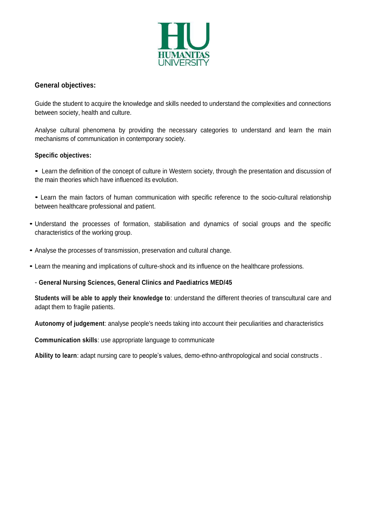

## **General objectives:**

Guide the student to acquire the knowledge and skills needed to understand the complexities and connections between society, health and culture.

Analyse cultural phenomena by providing the necessary categories to understand and learn the main mechanisms of communication in contemporary society.

## **Specific objectives:**

• Learn the definition of the concept of culture in Western society, through the presentation and discussion of the main theories which have influenced its evolution.

• Learn the main factors of human communication with specific reference to the socio-cultural relationship between healthcare professional and patient.

- Understand the processes of formation, stabilisation and dynamics of social groups and the specific characteristics of the working group.
- Analyse the processes of transmission, preservation and cultural change.
- Learn the meaning and implications of culture-shock and its influence on the healthcare professions.

## - **General Nursing Sciences, General Clinics and Paediatrics MED/45**

**Students will be able to apply their knowledge to**: understand the different theories of transcultural care and adapt them to fragile patients.

**Autonomy of judgement**: analyse people's needs taking into account their peculiarities and characteristics

**Communication skills**: use appropriate language to communicate

**Ability to learn**: adapt nursing care to people's values, demo-ethno-anthropological and social constructs .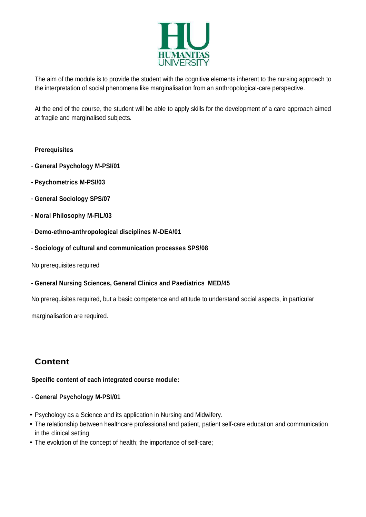

The aim of the module is to provide the student with the cognitive elements inherent to the nursing approach to the interpretation of social phenomena like marginalisation from an anthropological-care perspective.

At the end of the course, the student will be able to apply skills for the development of a care approach aimed at fragile and marginalised subjects.

## **Prerequisites**

- **General Psychology M-PSI/01**
- **Psychometrics M-PSI/03**
- **General Sociology SPS/07**
- **Moral Philosophy M-FIL/03**
- **Demo-ethno-anthropological disciplines M-DEA/01**
- **Sociology of cultural and communication processes SPS/08**

No prerequisites required

## - **General Nursing Sciences, General Clinics and Paediatrics MED/45**

No prerequisites required, but a basic competence and attitude to understand social aspects, in particular

marginalisation are required.

## **Content**

**Specific content of each integrated course module:**

## - **General Psychology M-PSI/01**

- Psychology as a Science and its application in Nursing and Midwifery.
- The relationship between healthcare professional and patient, patient self-care education and communication in the clinical setting
- The evolution of the concept of health; the importance of self-care;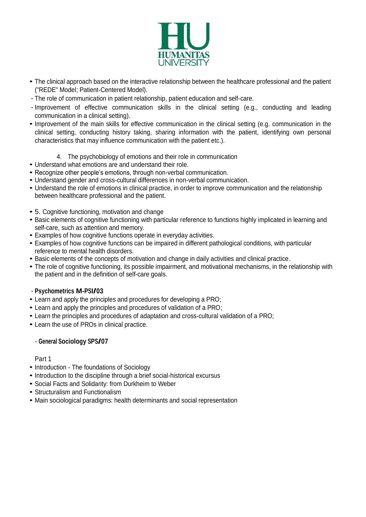

- The clinical approach based on the interactive relationship between the healthcare professional and the patient ("REDE" Model; Patient-Centered Model).
- The role of communication in patient relationship, patient education and self-care.
- Improvement of effective communication skills in the clinical setting (e.g., conducting and leading communication in a clinical setting).
- Improvement of the main skills for effective communication in the clinical setting (e.g. communication in the clinical setting, conducting history taking, sharing information with the patient, identifying own personal characteristics that may influence communication with the patient etc.).
	- 4. The psychobiology of emotions and their role in communication
- Understand what emotions are and understand their role.
- Recognize other people's emotions, through non-verbal communication.
- Understand gender and cross-cultural differences in non-verbal communication.
- Understand the role of emotions in clinical practice, in order to improve communication and the relationship between healthcare professional and the patient.
- 5. Cognitive functioning, motivation and change
- Basic elements of cognitive functioning with particular reference to functions highly implicated in learning and self-care, such as attention and memory.
- Examples of how cognitive functions operate in everyday activities.
- Examples of how cognitive functions can be impaired in different pathological conditions, with particular reference to mental health disorders.
- Basic elements of the concepts of motivation and change in daily activities and clinical practice.
- The role of cognitive functioning, its possible impairment, and motivational mechanisms, in the relationship with the patient and in the definition of self-care goals.

## - **Psychometrics M-PSI/03**

- Learn and apply the principles and procedures for developing a PRO;
- Learn and apply the principles and procedures of validation of a PRO;
- Learn the principles and procedures of adaptation and cross-cultural validation of a PRO;
- Learn the use of PROs in clinical practice.

## - **General Sociology SPS/07**

## Part 1

- Introduction The foundations of Sociology
- Introduction to the discipline through a brief social-historical excursus
- Social Facts and Solidarity: from Durkheim to Weber
- Structuralism and Functionalism
- Main sociological paradigms: health determinants and social representation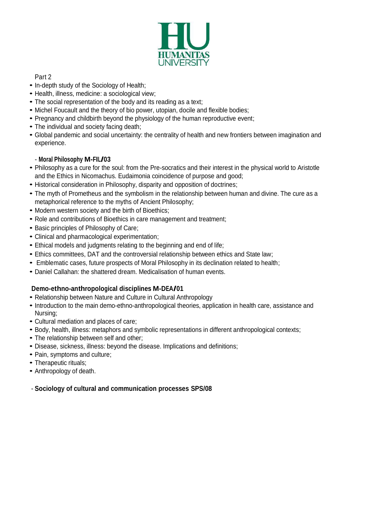

## Part 2

- In-depth study of the Sociology of Health;
- Health, illness, medicine: a sociological view;
- The social representation of the body and its reading as a text;
- Michel Foucault and the theory of bio power, utopian, docile and flexible bodies;
- Pregnancy and childbirth beyond the physiology of the human reproductive event;
- The individual and society facing death:
- Global pandemic and social uncertainty: the centrality of health and new frontiers between imagination and experience.

## - **Moral Philosophy M-FIL/03**

- Philosophy as a cure for the soul: from the Pre-socratics and their interest in the physical world to Aristotle and the Ethics in Nicomachus. Eudaimonia coincidence of purpose and good;
- Historical consideration in Philosophy, disparity and opposition of doctrines;
- The myth of Prometheus and the symbolism in the relationship between human and divine. The cure as a metaphorical reference to the myths of Ancient Philosophy;
- Modern western society and the birth of Bioethics;
- Role and contributions of Bioethics in care management and treatment;
- Basic principles of Philosophy of Care;
- Clinical and pharmacological experimentation;
- Ethical models and judgments relating to the beginning and end of life;
- Ethics committees, DAT and the controversial relationship between ethics and State law;
- Emblematic cases, future prospects of Moral Philosophy in its declination related to health;
- Daniel Callahan: the shattered dream. Medicalisation of human events.

## **Demo-ethno-anthropological disciplines M-DEA/01**

- Relationship between Nature and Culture in Cultural Anthropology
- Introduction to the main demo-ethno-anthropological theories, application in health care, assistance and Nursing;
- Cultural mediation and places of care;
- Body, health, illness: metaphors and symbolic representations in different anthropological contexts;
- The relationship between self and other:
- Disease, sickness, illness: beyond the disease. Implications and definitions;
- Pain, symptoms and culture;
- Therapeutic rituals:
- Anthropology of death.

## - **Sociology of cultural and communication processes SPS/08**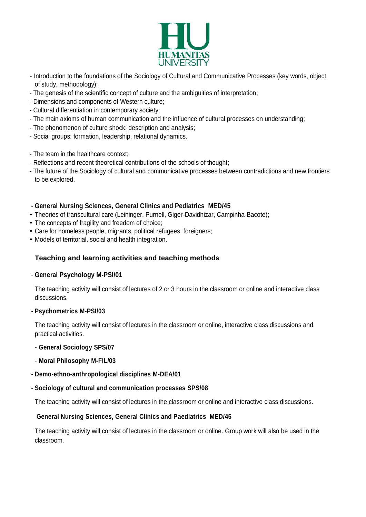

- Introduction to the foundations of the Sociology of Cultural and Communicative Processes (key words, object of study, methodology);
- The genesis of the scientific concept of culture and the ambiguities of interpretation;
- Dimensions and components of Western culture;
- Cultural differentiation in contemporary society;
- The main axioms of human communication and the influence of cultural processes on understanding;
- The phenomenon of culture shock: description and analysis;
- Social groups: formation, leadership, relational dynamics.
- The team in the healthcare context;
- Reflections and recent theoretical contributions of the schools of thought;
- The future of the Sociology of cultural and communicative processes between contradictions and new frontiers to be explored.

## - **General Nursing Sciences, General Clinics and Pediatrics MED/45**

- Theories of transcultural care (Leininger, Purnell, Giger-Davidhizar, Campinha-Bacote);
- The concepts of fragility and freedom of choice;
- Care for homeless people, migrants, political refugees, foreigners;
- Models of territorial, social and health integration.

## **Teaching and learning activities and teaching methods**

## - **General Psychology M-PSI/01**

The teaching activity will consist of lectures of 2 or 3 hours in the classroom or online and interactive class discussions.

## - **Psychometrics M-PSI/03**

The teaching activity will consist of lectures in the classroom or online, interactive class discussions and practical activities.

## - **General Sociology SPS/07**

- **Moral Philosophy M-FIL/03**

## - **Demo-ethno-anthropological disciplines M-DEA/01**

## - **Sociology of cultural and communication processes SPS/08**

The teaching activity will consist of lectures in the classroom or online and interactive class discussions.

## **General Nursing Sciences, General Clinics and Paediatrics MED/45**

The teaching activity will consist of lectures in the classroom or online. Group work will also be used in the classroom.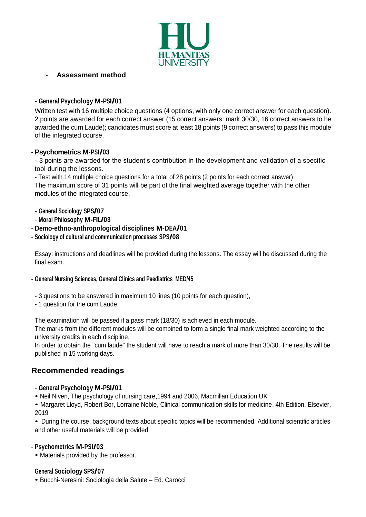

## - **Assessment method**

## - **General Psychology M-PSI/01**

Written test with 16 multiple choice questions (4 options, with only one correct answer for each question). 2 points are awarded for each correct answer (15 correct answers: mark 30/30, 16 correct answers to be awarded the cum Laude); candidates must score at least 18 points (9 correct answers) to pass this module of the integrated course.

## - **Psychometrics M-PSI/03**

- 3 points are awarded for the student's contribution in the development and validation of a specific tool during the lessons.

- Test with 14 multiple choice questions for a total of 28 points (2 points for each correct answer)

The maximum score of 31 points will be part of the final weighted average together with the other modules of the integrated course.

- **General Sociology SPS/07**
- **Moral Philosophy M-FIL/03**
- **Demo-ethno-anthropological disciplines M-DEA/01**
- **Sociology of cultural and communication processes SPS/08**

Essay: instructions and deadlines will be provided during the lessons. The essay will be discussed during the final exam.

## - **General Nursing Sciences, General Clinics and Paediatrics MED/45**

- 3 questions to be answered in maximum 10 lines (10 points for each question),
- 1 question for the cum Laude.

The examination will be passed if a pass mark (18/30) is achieved in each module.

The marks from the different modules will be combined to form a single final mark weighted according to the university credits in each discipline.

In order to obtain the "cum laude" the student will have to reach a mark of more than 30/30. The results will be published in 15 working days.

## **Recommended readings**

## - **General Psychology M-PSI/01**

• Neil Niven, The psychology of nursing care,1994 and 2006, Macmillan Education UK

• Margaret Lloyd, Robert Bor, Lorraine Noble, Clinical communication skills for medicine, 4th Edition, Elsevier, 2019

• During the course, background texts about specific topics will be recommended. Additional scientific articles and other useful materials will be provided.

## - **Psychometrics M-PSI/03**

• Materials provided by the professor.

## **General Sociology SPS/07**

• Bucchi-Neresini: Sociologia della Salute – Ed. Carocci